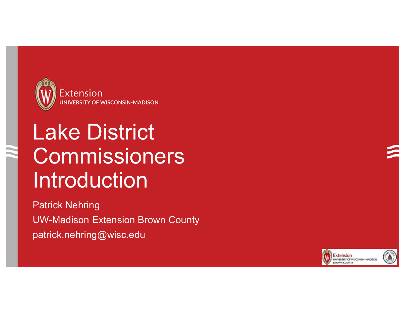

# Lake District **Commissioners** Introduction

Patrick Nehring UW-Madison Extension Brown County patrick.nehring@wisc.edu

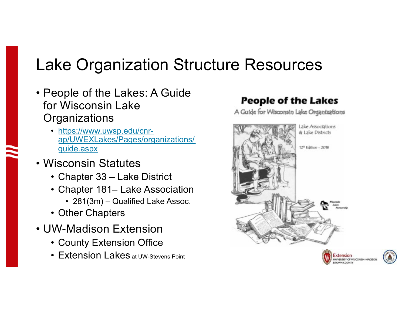## Lake Organization Structure Resources

- People of the Lakes: A Guide for Wisconsin Lake **Organizations** 
	- https://www.uwsp.edu/cnrap/UWEXLakes/Pages/organizations/ guide.aspx
- Wisconsin Statutes
	- Chapter 33 Lake District
	- Chapter 181– Lake Association
		- 281(3m) Qualified Lake Assoc.
	- Other Chapters
- UW-Madison Extension
	- County Extension Office
	- **Extension Lakes** at UW-Stevens Point

#### **People of the Lakes**

A Guide for Wisconsin Lake Organizations



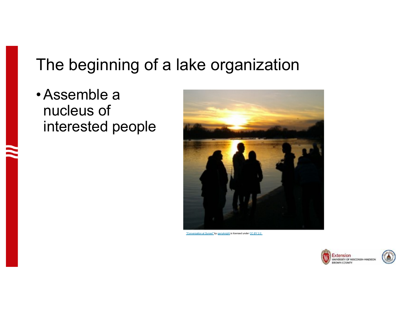## The beginning of a lake organization

•Assemble a nucleus of interested people



*"Conversation at Sunset" by garryknight is licensed under CC BY 2.0*

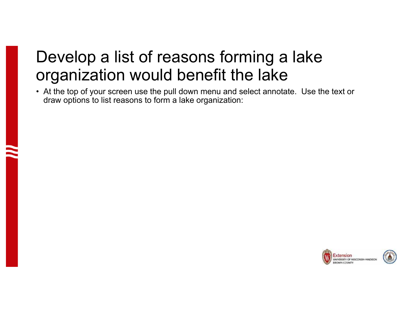## Develop a list of reasons forming a lake organization would benefit the lake

• At the top of your screen use the pull down menu and select annotate. Use the text or draw options to list reasons to form a lake organization:

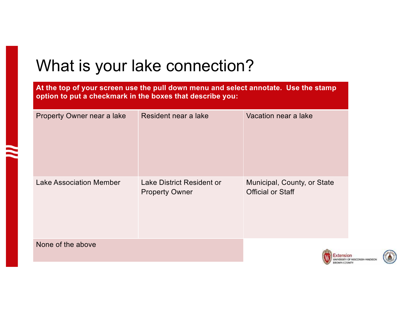## What is your lake connection?

**At the top of your screen use the pull down menu and select annotate. Use the stamp option to put a checkmark in the boxes that describe you:**

| Property Owner near a lake     | Resident near a lake                                      | Vacation near a lake                                    |
|--------------------------------|-----------------------------------------------------------|---------------------------------------------------------|
| <b>Lake Association Member</b> | <b>Lake District Resident or</b><br><b>Property Owner</b> | Municipal, County, or State<br><b>Official or Staff</b> |
| None of the above              |                                                           |                                                         |

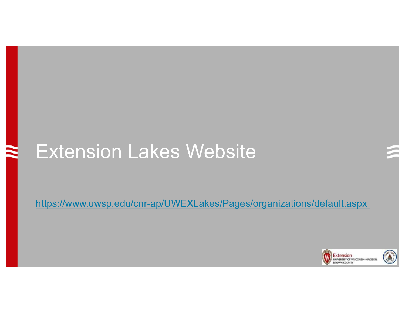## Extension Lakes Website

https://www.uwsp.edu/cnr-ap/UWEXLakes/Pages/organizations/default.aspx

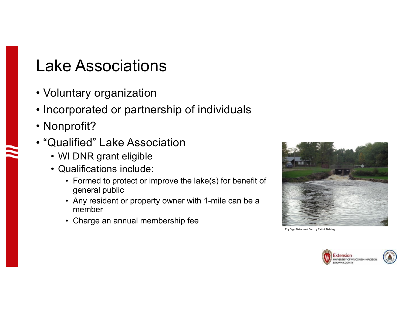### Lake Associations

- Voluntary organization
- Incorporated or partnership of individuals
- Nonprofit?
- "Qualified" Lake Association
	- WI DNR grant eligible
	- Qualifications include:
		- Formed to protect or improve the lake(s) for benefit of general public
		- Any resident or property owner with 1-mile can be a member
		- Charge an annual membership fee



Poy Sippi Betterment Dam by Patrick Nehring

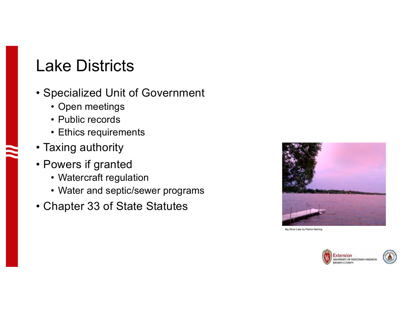### Lake Districts

- Specialized Unit of Government
	- Open meetings
	- Public records
	- Ethics requirements
- Taxing authority
- Powers if granted
	- Watercraft regulation
	- Water and septic/sewer programs
- Chapter 33 of State Statutes



Big Silver Lake by Patrick Nehring

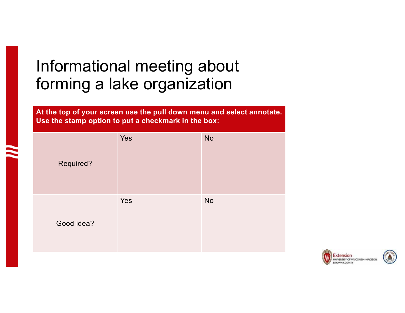## Informational meeting about forming a lake organization

**At the top of your screen use the pull down menu and select annotate. Use the stamp option to put a checkmark in the box:**

| Required?  | Yes | <b>No</b> |
|------------|-----|-----------|
| Good idea? | Yes | <b>No</b> |

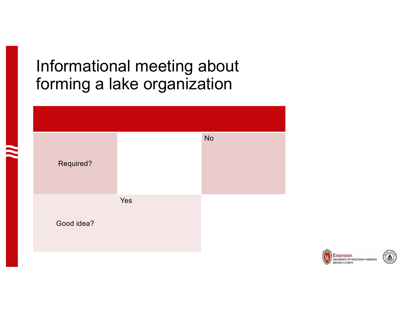## Informational meeting about forming a lake organization



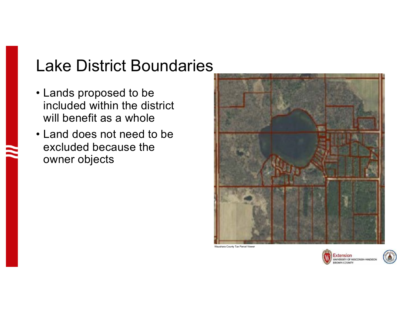## Lake District Boundaries

- Lands proposed to be included within the district will benefit as a whole
- Land does not need to be excluded because the owner objects



Waushara County Tax Parcel Viewer

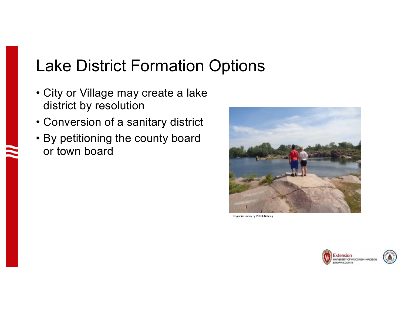## Lake District Formation Options

- City or Village may create a lake district by resolution
- Conversion of a sanitary district
- By petitioning the county board or town board



Redgranite Quarry by Patrick Nehring

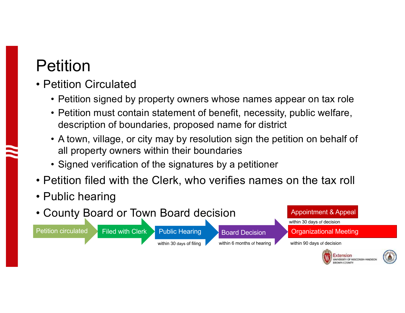## Petition

- Petition Circulated
	- Petition signed by property owners whose names appear on tax role
	- Petition must contain statement of benefit, necessity, public welfare, description of boundaries, proposed name for district
	- A town, village, or city may by resolution sign the petition on behalf of all property owners within their boundaries
	- Signed verification of the signatures by a petitioner
- Petition filed with the Clerk, who verifies names on the tax roll
- Public hearing
- County Board or Town Board decision

Petition circulated Filed with Clerk Public Hearing Board Decision

within 30 days of decision Appointment & Appeal

Organizational Meeting

within 30 days of filing within 6 months of hearing within 90 days of decision

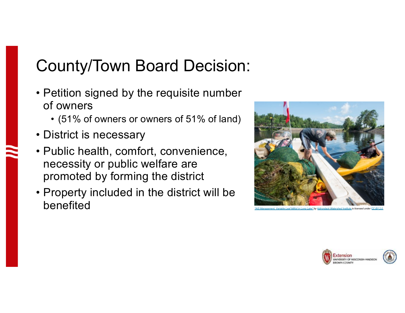## County/Town Board Decision:

- Petition signed by the requisite number of owners
	- (51% of owners or owners of 51% of land)
- District is necessary
- Public health, comfort, convenience, necessity or public welfare are promoted by forming the district
- Property included in the district will be **benefitted** watershed Institute is licensed under CC BY 2.00 Management, Variable Leaf Milfoil in Long Lake" by Adirondack Watershed Institute is licensed under CC



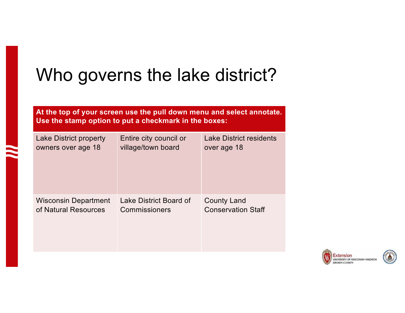## Who governs the lake district?

**At the top of your screen use the pull down menu and select annotate. Use the stamp option to put a checkmark in the boxes:**

| Lake District property      | Entire city council or | <b>Lake District residents</b> |
|-----------------------------|------------------------|--------------------------------|
| owners over age 18          | village/town board     | over age 18                    |
| <b>Wisconsin Department</b> | Lake District Board of | <b>County Land</b>             |
| of Natural Resources        | Commissioners          | <b>Conservation Staff</b>      |

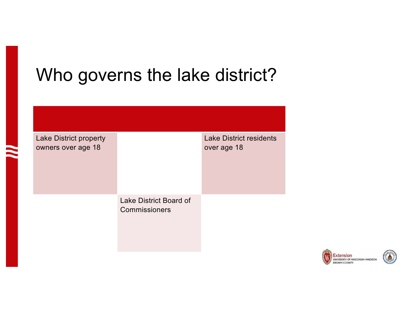## Who governs the lake district?

| <b>Lake District property</b><br>owners over age 18 |                                         | <b>Lake District residents</b><br>over age 18 |
|-----------------------------------------------------|-----------------------------------------|-----------------------------------------------|
|                                                     | Lake District Board of<br>Commissioners |                                               |

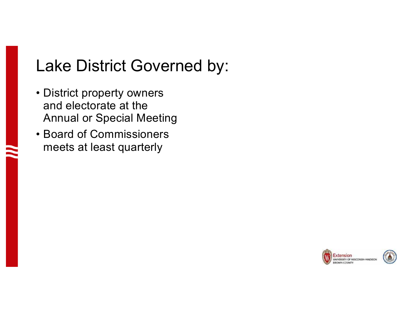## Lake District Governed by:

- District property owners and electorate at the Annual or Special Meeting
- Board of Commissioners meets at least quarterly

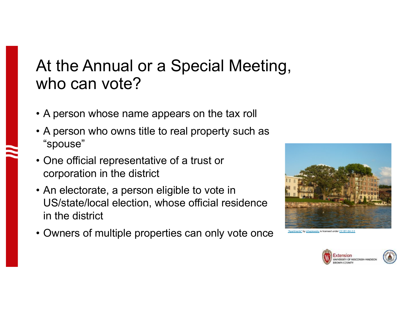## At the Annual or a Special Meeting, who can vote?

- A person whose name appears on the tax roll
- A person who owns title to real property such as "spouse"
- One official representative of a trust or corporation in the district
- An electorate, a person eligible to vote in US/state/local election, whose official residence in the district
- Owners of multiple properties can only vote once



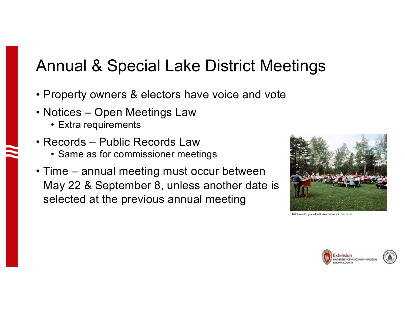## Annual & Special Lake District Meetings

- Property owners & electors have voice and vote
- Notices Open Meetings Law
	- Extra requirements
- Records Public Records Law
	- Same as for commissioner meetings
- Time annual meeting must occur between May 22 & September 8, unless another date is selected at the previous annual meeting



UW Lakes Program & WI Lakes Partnership Bob Korth

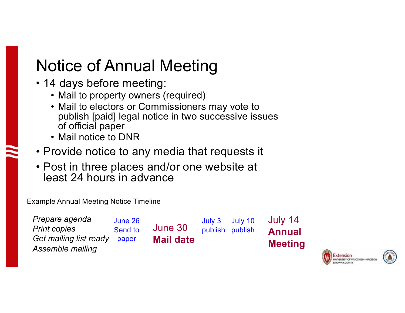## Notice of Annual Meeting

- 14 days before meeting:
	- Mail to property owners (required)
	- Mail to electors or Commissioners may vote to publish [paid] legal notice in two successive issues of official paper
	- Mail notice to DNR
- Provide notice to any media that requests it
- Post in three places and/or one website at least 24 hours in advance

Example Annual Meeting Notice Timeline



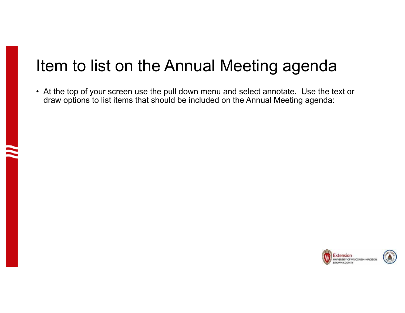## Item to list on the Annual Meeting agenda

• At the top of your screen use the pull down menu and select annotate. Use the text or draw options to list items that should be included on the Annual Meeting agenda:

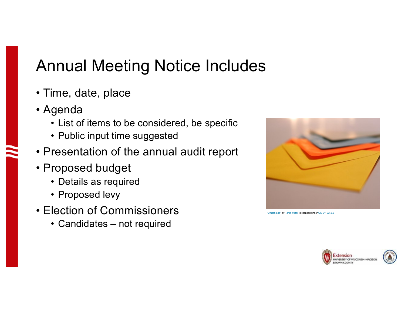## Annual Meeting Notice Includes

- Time, date, place
- Agenda
	- List of items to be considered, be specific
	- Public input time suggested
- Presentation of the annual audit report
- Proposed budget
	- Details as required
	- Proposed levy
- Election of Commissioners
	- Candidates not required



Tanja-Milfoil is licensed under CC BY-SA 2.0

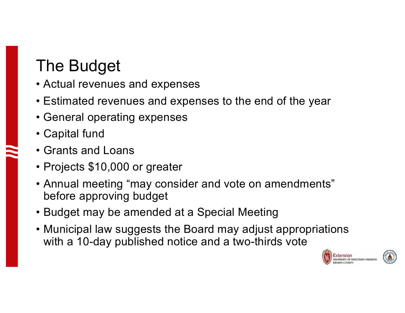## The Budget

- Actual revenues and expenses
- Estimated revenues and expenses to the end of the year
- General operating expenses
- Capital fund
- Grants and Loans
- Projects \$10,000 or greater
- Annual meeting "may consider and vote on amendments" before approving budget
- Budget may be amended at a Special Meeting
- Municipal law suggests the Board may adjust appropriations with a 10-day published notice and a two-thirds vote

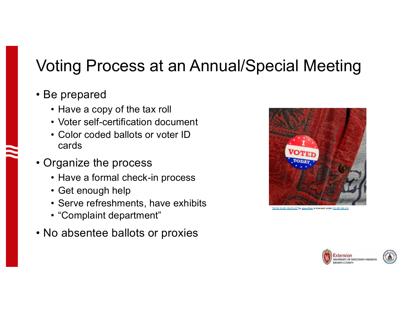## Voting Process at an Annual/Special Meeting

#### • Be prepared

- Have a copy of the tax roll
- Voter self-certification document
- Color coded ballots or voter ID cards
- Organize the process
	- Have a formal check-in process
	- Get enough help
	- Serve refreshments, have exhibits
	- "Complaint department"
- No absentee ballots or proxies





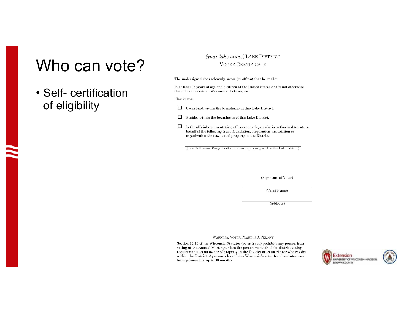### Who can vote?

#### • Self- certification of eligibility

#### (your lake name) LAKE DISTRICT **VOTER CERTIFICATE**

The undersigned does solemnly swear (or affirm) that he or she:

Is at least 18 years of age and a citizen of the United States and is not otherwise disqualified to vote in Wisconsin elections, and

Check One:

 $\Box$ Owns land within the boundaries of this Lake District.

 $\Box$ Resides within the boundaries of this Lake District.

□ Is the official representative, officer or employee who is authorized to vote on behalf of the following trust, foundation, corporation, association or organization that owns real property in the District:

(print full name of organization that owns property within this Lake District)

(Signature of Voter)

(Print Name)

(Address)

WARNING: VOTER FRAUD IS A FELONY

Section 12.13 of the Wisconsin Statutes (voter fraud) prohibits any person from voting at the Annual Meeting unless the person meets the lake district voting requirements as an owner of property in the District or as an elector who resides within the District. A person who violates Wisconsin's voter fraud statutes may be imprisoned for up to 18 months.



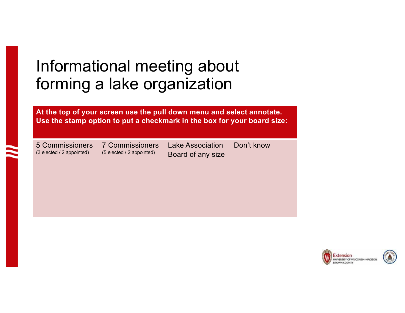## Informational meeting about forming a lake organization

**At the top of your screen use the pull down menu and select annotate. Use the stamp option to put a checkmark in the box for your board size:**

5 Commissioners (3 elected / 2 appointed)

7 Commissioners (5 elected / 2 appointed)

Lake Association Board of any size

Don't know

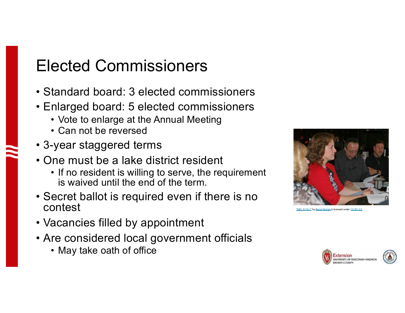## Elected Commissioners

- Standard board: 3 elected commissioners
- Enlarged board: 5 elected commissioners
	- Vote to enlarge at the Annual Meeting
	- Can not be reversed
- 3-year staggered terms
- One must be a lake district resident
	- If no resident is willing to serve, the requirement is waived until the end of the term.
- Secret ballot is required even if there is no contest
- Vacancies filled by appointment
- Are considered local government officials
	- May take oath of office



ngt Nyman is licensed under CC BY 2.0

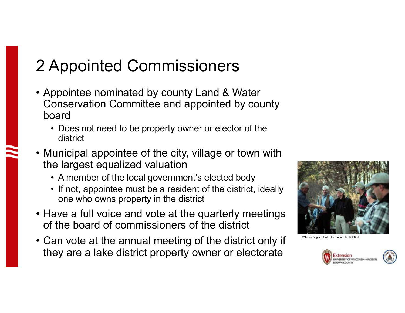## 2 Appointed Commissioners

- Appointee nominated by county Land & Water Conservation Committee and appointed by county board
	- Does not need to be property owner or elector of the district
- Municipal appointee of the city, village or town with the largest equalized valuation
	- A member of the local government's elected body
	- If not, appointee must be a resident of the district, ideally one who owns property in the district
- Have a full voice and vote at the quarterly meetings of the board of commissioners of the district
- Can vote at the annual meeting of the district only if they are a lake district property owner or electorate





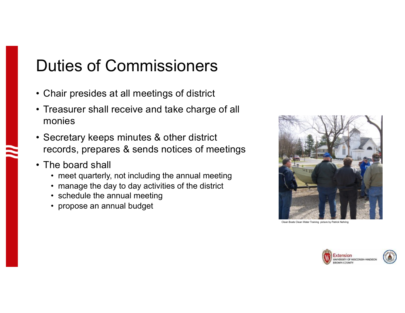## Duties of Commissioners

- Chair presides at all meetings of district
- Treasurer shall receive and take charge of all monies
- Secretary keeps minutes & other district records, prepares & sends notices of meetings
- The board shall
	- meet quarterly, not including the annual meeting
	- manage the day to day activities of the district
	- schedule the annual meeting
	- propose an annual budget



Clean Boats Clean Water Training picture by Patrick Nehring

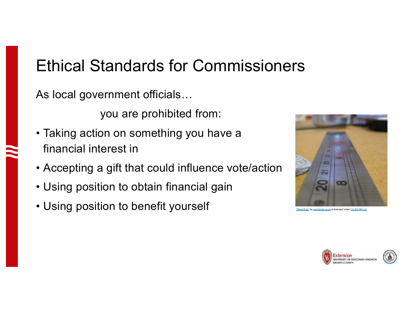## Ethical Standards for Commissioners

As local government officials…

you are prohibited from:

- Taking action on something you have a financial interest in
- Accepting a gift that could influence vote/action
- Using position to obtain financial gain
- Using position to benefit yourself "Steel Rule" by garybirnie.co.uk is licensed under CC BY-ND 2.0



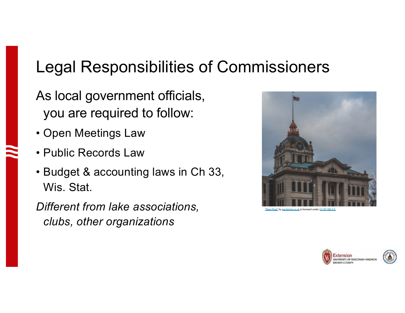## Legal Responsibilities of Commissioners

- As local government officials, you are required to follow:
- Open Meetings Law
- Public Records Law
- Budget & accounting laws in Ch 33, Wis. Stat.

*Different from lake associations, clubs, other organizations*



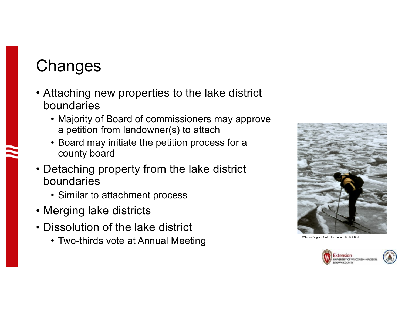## **Changes**

- Attaching new properties to the lake district boundaries
	- Majority of Board of commissioners may approve a petition from landowner(s) to attach
	- Board may initiate the petition process for a county board
- Detaching property from the lake district boundaries
	- Similar to attachment process
- Merging lake districts
- Dissolution of the lake district
	- Two-thirds vote at Annual Meeting UP Density Annual UNCE Index Program & WI Lakes Program & WI Lakes Partnership Bob Korth



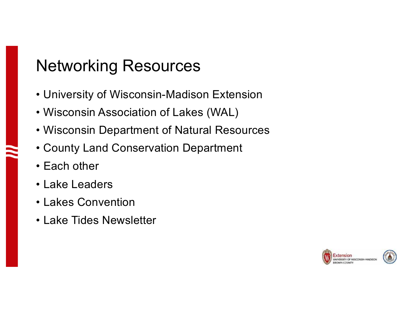## Networking Resources

- University of Wisconsin-Madison Extension
- Wisconsin Association of Lakes (WAL)
- Wisconsin Department of Natural Resources
- County Land Conservation Department
- Each other
- Lake Leaders
- Lakes Convention
- Lake Tides Newsletter